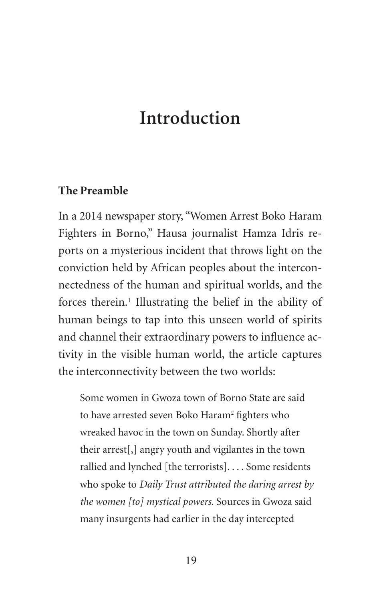# **Introduction**

#### **The Preamble**

In a 2014 newspaper story, "Women Arrest Boko Haram Fighters in Borno," Hausa journalist Hamza Idris reports on a mysterious incident that throws light on the conviction held by African peoples about the interconnectedness of the human and spiritual worlds, and the forces therein.<sup>1</sup> Illustrating the belief in the ability of human beings to tap into this unseen world of spirits and channel their extraordinary powers to influence activity in the visible human world, the article captures the interconnectivity between the two worlds:

Some women in Gwoza town of Borno State are said to have arrested seven Boko Haram<sup>2</sup> fighters who wreaked havoc in the town on Sunday. Shortly after their arrest[,] angry youth and vigilantes in the town rallied and lynched [the terrorists]. . . . Some residents who spoke to *Daily Trust attributed the daring arrest by the women [to] mystical powers.* Sources in Gwoza said many insurgents had earlier in the day intercepted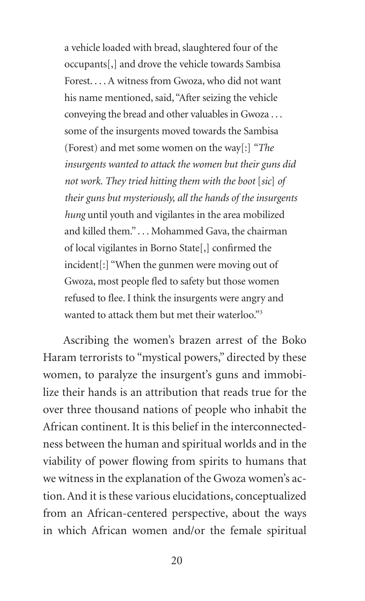a vehicle loaded with bread, slaughtered four of the occupants[,] and drove the vehicle towards Sambisa Forest. . . . A witness from Gwoza, who did not want his name mentioned, said, "After seizing the vehicle conveying the bread and other valuables in Gwoza . . . some of the insurgents moved towards the Sambisa (Forest) and met some women on the way[:] *"The insurgents wanted to attack the women but their guns did not work. They tried hitting them with the boot* [*sic*] *of their guns but mysteriously, all the hands of the insurgents hung* until youth and vigilantes in the area mobilized and killed them." . . . Mohammed Gava, the chairman of local vigilantes in Borno State[,] confirmed the incident[:] "When the gunmen were moving out of Gwoza, most people fled to safety but those women refused to flee. I think the insurgents were angry and wanted to attack them but met their waterloo."<sup>3</sup>

Ascribing the women's brazen arrest of the Boko Haram terrorists to "mystical powers," directed by these women, to paralyze the insurgent's guns and immobilize their hands is an attribution that reads true for the over three thousand nations of people who inhabit the African continent. It is this belief in the interconnectedness between the human and spiritual worlds and in the viability of power flowing from spirits to humans that we witness in the explanation of the Gwoza women's action. And it is these various elucidations, conceptualized from an African-centered perspective, about the ways in which African women and/or the female spiritual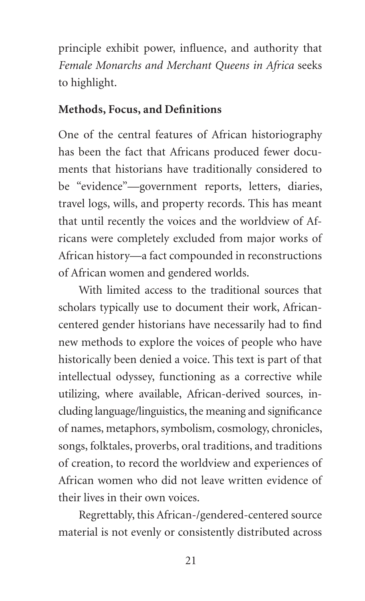principle exhibit power, influence, and authority that *Female Monarchs and Merchant Queens in Africa* seeks to highlight.

#### **Methods, Focus, and Definitions**

One of the central features of African historiography has been the fact that Africans produced fewer documents that historians have traditionally considered to be "evidence"—government reports, letters, diaries, travel logs, wills, and property records. This has meant that until recently the voices and the worldview of Africans were completely excluded from major works of African history—a fact compounded in reconstructions of African women and gendered worlds.

With limited access to the traditional sources that scholars typically use to document their work, Africancentered gender historians have necessarily had to find new methods to explore the voices of people who have historically been denied a voice. This text is part of that intellectual odyssey, functioning as a corrective while utilizing, where available, African-derived sources, including language/linguistics, the meaning and significance of names, metaphors, symbolism, cosmology, chronicles, songs, folktales, proverbs, oral traditions, and traditions of creation, to record the worldview and experiences of African women who did not leave written evidence of their lives in their own voices.

Regrettably, this African-/gendered-centered source material is not evenly or consistently distributed across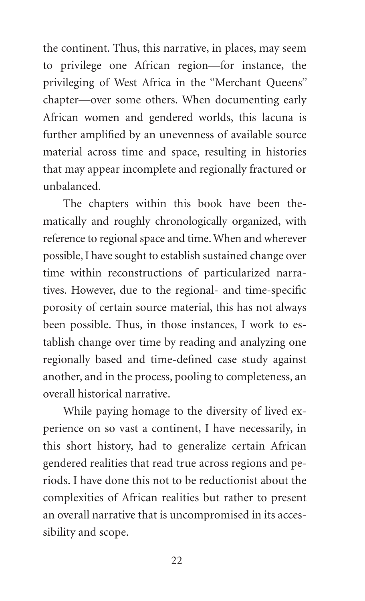the continent. Thus, this narrative, in places, may seem to privilege one African region—for instance, the privileging of West Africa in the "Merchant Queens" chapter—over some others. When documenting early African women and gendered worlds, this lacuna is further amplified by an unevenness of available source material across time and space, resulting in histories that may appear incomplete and regionally fractured or unbalanced.

The chapters within this book have been thematically and roughly chronologically organized, with reference to regional space and time. When and wherever possible, I have sought to establish sustained change over time within reconstructions of particularized narratives. However, due to the regional- and time-specific porosity of certain source material, this has not always been possible. Thus, in those instances, I work to establish change over time by reading and analyzing one regionally based and time-defined case study against another, and in the process, pooling to completeness, an overall historical narrative.

While paying homage to the diversity of lived experience on so vast a continent, I have necessarily, in this short history, had to generalize certain African gendered realities that read true across regions and periods. I have done this not to be reductionist about the complexities of African realities but rather to present an overall narrative that is uncompromised in its accessibility and scope.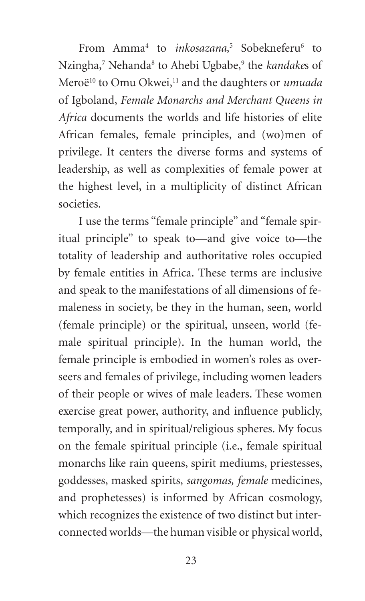From Amma<sup>4</sup> to *inkosazana*,<sup>5</sup> Sobekneferu<sup>6</sup> to Nzingha,<sup>7</sup> Nehanda<sup>8</sup> to Ahebi Ugbabe,<sup>9</sup> the *kandakes* of Meroë<sup>10</sup> to Omu Okwei,<sup>11</sup> and the daughters or *umuada* of Igboland, *Female Monarchs and Merchant Queens in Africa* documents the worlds and life histories of elite African females, female principles, and (wo)men of privilege. It centers the diverse forms and systems of leadership, as well as complexities of female power at the highest level, in a multiplicity of distinct African societies.

I use the terms "female principle" and "female spiritual principle" to speak to—and give voice to—the totality of leadership and authoritative roles occupied by female entities in Africa. These terms are inclusive and speak to the manifestations of all dimensions of femaleness in society, be they in the human, seen, world (female principle) or the spiritual, unseen, world (female spiritual principle). In the human world, the female principle is embodied in women's roles as overseers and females of privilege, including women leaders of their people or wives of male leaders. These women exercise great power, authority, and influence publicly, temporally, and in spiritual/religious spheres. My focus on the female spiritual principle (i.e., female spiritual monarchs like rain queens, spirit mediums, priestesses, goddesses, masked spirits, *sangomas, female* medicines, and prophetesses) is informed by African cosmology, which recognizes the existence of two distinct but interconnected worlds—the human visible or physical world,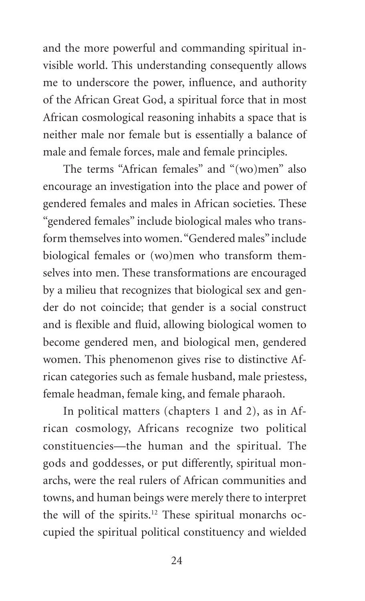and the more powerful and commanding spiritual invisible world. This understanding consequently allows me to underscore the power, influence, and authority of the African Great God, a spiritual force that in most African cosmological reasoning inhabits a space that is neither male nor female but is essentially a balance of male and female forces, male and female principles.

The terms "African females" and "(wo)men" also encourage an investigation into the place and power of gendered females and males in African societies. These "gendered females" include biological males who transform themselves into women. "Gendered males" include biological females or (wo)men who transform themselves into men. These transformations are encouraged by a milieu that recognizes that biological sex and gender do not coincide; that gender is a social construct and is flexible and fluid, allowing biological women to become gendered men, and biological men, gendered women. This phenomenon gives rise to distinctive African categories such as female husband, male priestess, female headman, female king, and female pharaoh.

In political matters (chapters 1 and 2), as in African cosmology, Africans recognize two political constituencies—the human and the spiritual. The gods and goddesses, or put differently, spiritual monarchs, were the real rulers of African communities and towns, and human beings were merely there to interpret the will of the spirits.12 These spiritual monarchs occupied the spiritual political constituency and wielded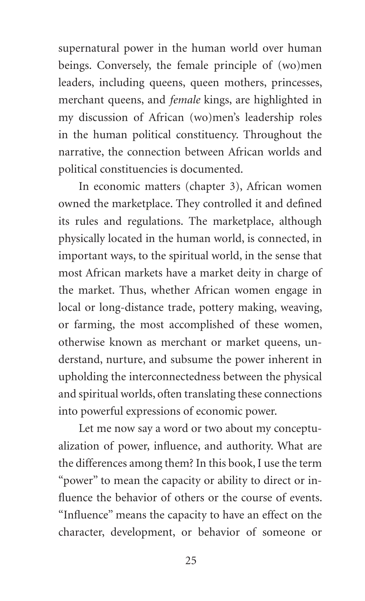supernatural power in the human world over human beings. Conversely, the female principle of (wo)men leaders, including queens, queen mothers, princesses, merchant queens, and *female* kings, are highlighted in my discussion of African (wo)men's leadership roles in the human political constituency. Throughout the narrative, the connection between African worlds and political constituencies is documented.

In economic matters (chapter 3), African women owned the marketplace. They controlled it and defined its rules and regulations. The marketplace, although physically located in the human world, is connected, in important ways, to the spiritual world, in the sense that most African markets have a market deity in charge of the market. Thus, whether African women engage in local or long-distance trade, pottery making, weaving, or farming, the most accomplished of these women, otherwise known as merchant or market queens, understand, nurture, and subsume the power inherent in upholding the interconnectedness between the physical and spiritual worlds, often translating these connections into powerful expressions of economic power.

Let me now say a word or two about my conceptualization of power, influence, and authority. What are the differences among them? In this book, I use the term "power" to mean the capacity or ability to direct or influence the behavior of others or the course of events. "Influence" means the capacity to have an effect on the character, development, or behavior of someone or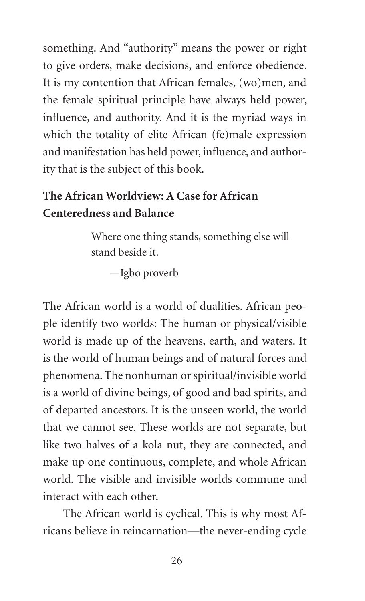something. And "authority" means the power or right to give orders, make decisions, and enforce obedience. It is my contention that African females, (wo)men, and the female spiritual principle have always held power, influence, and authority. And it is the myriad ways in which the totality of elite African (fe)male expression and manifestation has held power, influence, and authority that is the subject of this book.

## **The African Worldview: A Case for African Centeredness and Balance**

Where one thing stands, something else will stand beside it.

—Igbo proverb

The African world is a world of dualities. African people identify two worlds: The human or physical/visible world is made up of the heavens, earth, and waters. It is the world of human beings and of natural forces and phenomena. The nonhuman or spiritual/invisible world is a world of divine beings, of good and bad spirits, and of departed ancestors. It is the unseen world, the world that we cannot see. These worlds are not separate, but like two halves of a kola nut, they are connected, and make up one continuous, complete, and whole African world. The visible and invisible worlds commune and interact with each other.

The African world is cyclical. This is why most Africans believe in reincarnation—the never-ending cycle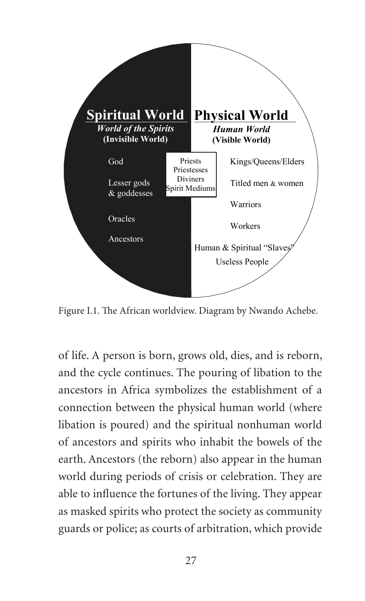

Figure I.1. The African worldview. Diagram by Nwando Achebe.

of life. A person is born, grows old, dies, and is reborn, and the cycle continues. The pouring of libation to the ancestors in Africa symbolizes the establishment of a connection between the physical human world (where libation is poured) and the spiritual nonhuman world of ancestors and spirits who inhabit the bowels of the earth. Ancestors (the reborn) also appear in the human world during periods of crisis or celebration. They are able to influence the fortunes of the living. They appear as masked spirits who protect the society as community guards or police; as courts of arbitration, which provide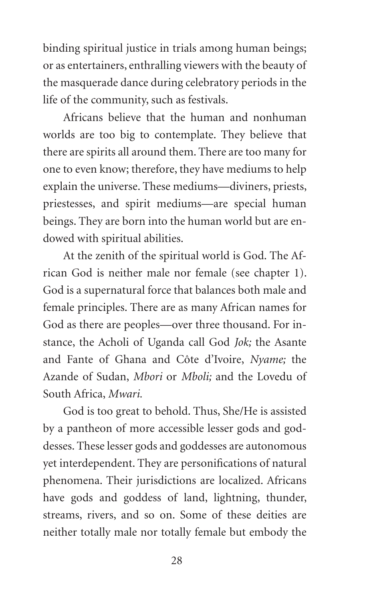binding spiritual justice in trials among human beings; or as entertainers, enthralling viewers with the beauty of the masquerade dance during celebratory periods in the life of the community, such as festivals.

Africans believe that the human and nonhuman worlds are too big to contemplate. They believe that there are spirits all around them. There are too many for one to even know; therefore, they have mediums to help explain the universe. These mediums—diviners, priests, priestesses, and spirit mediums—are special human beings. They are born into the human world but are endowed with spiritual abilities.

At the zenith of the spiritual world is God. The African God is neither male nor female (see chapter 1). God is a supernatural force that balances both male and female principles. There are as many African names for God as there are peoples—over three thousand. For instance, the Acholi of Uganda call God *Jok;* the Asante and Fante of Ghana and Côte d'Ivoire, *Nyame;* the Azande of Sudan, *Mbori* or *Mboli;* and the Lovedu of South Africa, *Mwari.*

God is too great to behold. Thus, She/He is assisted by a pantheon of more accessible lesser gods and goddesses. These lesser gods and goddesses are autonomous yet interdependent. They are personifications of natural phenomena. Their jurisdictions are localized. Africans have gods and goddess of land, lightning, thunder, streams, rivers, and so on. Some of these deities are neither totally male nor totally female but embody the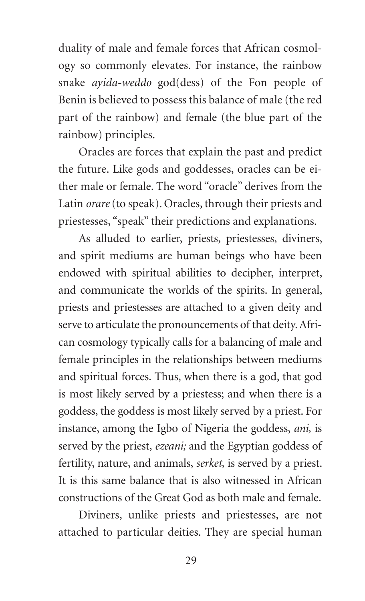duality of male and female forces that African cosmology so commonly elevates. For instance, the rainbow snake *ayida-weddo* god(dess) of the Fon people of Benin is believed to possess this balance of male (the red part of the rainbow) and female (the blue part of the rainbow) principles.

Oracles are forces that explain the past and predict the future. Like gods and goddesses, oracles can be either male or female. The word "oracle" derives from the Latin *orare* (to speak). Oracles, through their priests and priestesses, "speak" their predictions and explanations.

As alluded to earlier, priests, priestesses, diviners, and spirit mediums are human beings who have been endowed with spiritual abilities to decipher, interpret, and communicate the worlds of the spirits. In general, priests and priestesses are attached to a given deity and serve to articulate the pronouncements of that deity. African cosmology typically calls for a balancing of male and female principles in the relationships between mediums and spiritual forces. Thus, when there is a god, that god is most likely served by a priestess; and when there is a goddess, the goddess is most likely served by a priest. For instance, among the Igbo of Nigeria the goddess, *ani,* is served by the priest, *ezeani;* and the Egyptian goddess of fertility, nature, and animals, *serket,* is served by a priest. It is this same balance that is also witnessed in African constructions of the Great God as both male and female.

Diviners, unlike priests and priestesses, are not attached to particular deities. They are special human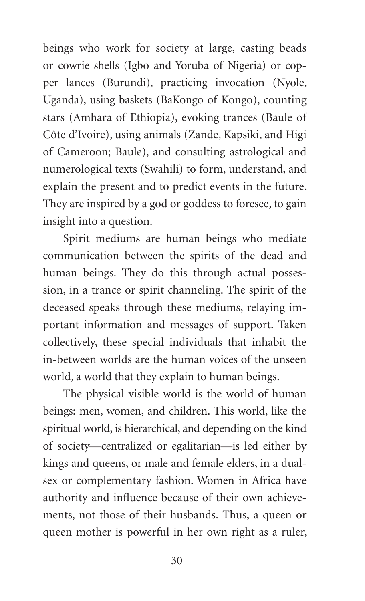beings who work for society at large, casting beads or cowrie shells (Igbo and Yoruba of Nigeria) or copper lances (Burundi), practicing invocation (Nyole, Uganda), using baskets (BaKongo of Kongo), counting stars (Amhara of Ethiopia), evoking trances (Baule of Côte d'Ivoire), using animals (Zande, Kapsiki, and Higi of Cameroon; Baule), and consulting astrological and numerological texts (Swahili) to form, understand, and explain the present and to predict events in the future. They are inspired by a god or goddess to foresee, to gain insight into a question.

Spirit mediums are human beings who mediate communication between the spirits of the dead and human beings. They do this through actual possession, in a trance or spirit channeling. The spirit of the deceased speaks through these mediums, relaying important information and messages of support. Taken collectively, these special individuals that inhabit the in-between worlds are the human voices of the unseen world, a world that they explain to human beings.

The physical visible world is the world of human beings: men, women, and children. This world, like the spiritual world, is hierarchical, and depending on the kind of society—centralized or egalitarian—is led either by kings and queens, or male and female elders, in a dualsex or complementary fashion. Women in Africa have authority and influence because of their own achievements, not those of their husbands. Thus, a queen or queen mother is powerful in her own right as a ruler,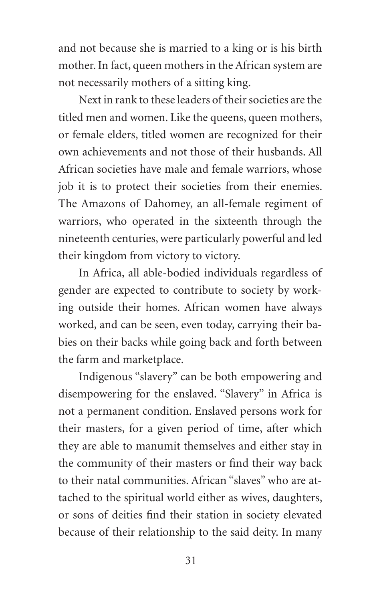and not because she is married to a king or is his birth mother. In fact, queen mothers in the African system are not necessarily mothers of a sitting king.

Next in rank to these leaders of their societies are the titled men and women. Like the queens, queen mothers, or female elders, titled women are recognized for their own achievements and not those of their husbands. All African societies have male and female warriors, whose job it is to protect their societies from their enemies. The Amazons of Dahomey, an all-female regiment of warriors, who operated in the sixteenth through the nineteenth centuries, were particularly powerful and led their kingdom from victory to victory.

In Africa, all able-bodied individuals regardless of gender are expected to contribute to society by working outside their homes. African women have always worked, and can be seen, even today, carrying their babies on their backs while going back and forth between the farm and marketplace.

Indigenous "slavery" can be both empowering and disempowering for the enslaved. "Slavery" in Africa is not a permanent condition. Enslaved persons work for their masters, for a given period of time, after which they are able to manumit themselves and either stay in the community of their masters or find their way back to their natal communities. African "slaves" who are attached to the spiritual world either as wives, daughters, or sons of deities find their station in society elevated because of their relationship to the said deity. In many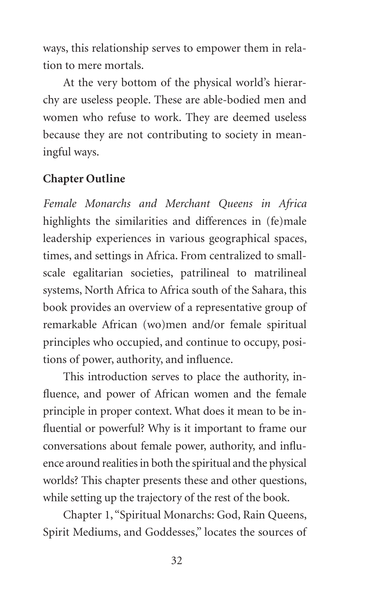ways, this relationship serves to empower them in relation to mere mortals.

At the very bottom of the physical world's hierarchy are useless people. These are able-bodied men and women who refuse to work. They are deemed useless because they are not contributing to society in meaningful ways.

### **Chapter Outline**

*Female Monarchs and Merchant Queens in Africa* highlights the similarities and differences in (fe)male leadership experiences in various geographical spaces, times, and settings in Africa. From centralized to smallscale egalitarian societies, patrilineal to matrilineal systems, North Africa to Africa south of the Sahara, this book provides an overview of a representative group of remarkable African (wo)men and/or female spiritual principles who occupied, and continue to occupy, positions of power, authority, and influence.

This introduction serves to place the authority, influence, and power of African women and the female principle in proper context. What does it mean to be influential or powerful? Why is it important to frame our conversations about female power, authority, and influence around realities in both the spiritual and the physical worlds? This chapter presents these and other questions, while setting up the trajectory of the rest of the book.

Chapter 1, "Spiritual Monarchs: God, Rain Queens, Spirit Mediums, and Goddesses," locates the sources of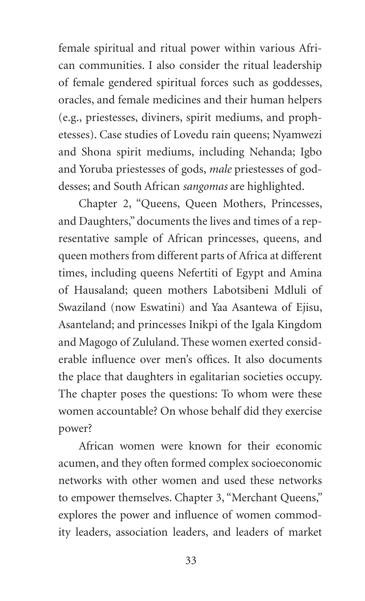female spiritual and ritual power within various African communities. I also consider the ritual leadership of female gendered spiritual forces such as goddesses, oracles, and female medicines and their human helpers (e.g., priestesses, diviners, spirit mediums, and prophetesses). Case studies of Lovedu rain queens; Nyamwezi and Shona spirit mediums, including Nehanda; Igbo and Yoruba priestesses of gods, *male* priestesses of goddesses; and South African *sangomas* are highlighted.

Chapter 2, "Queens, Queen Mothers, Princesses, and Daughters," documents the lives and times of a representative sample of African princesses, queens, and queen mothers from different parts of Africa at different times, including queens Nefertiti of Egypt and Amina of Hausaland; queen mothers Labotsibeni Mdluli of Swaziland (now Eswatini) and Yaa Asantewa of Ejisu, Asanteland; and princesses Inikpi of the Igala Kingdom and Magogo of Zululand. These women exerted considerable influence over men's offices. It also documents the place that daughters in egalitarian societies occupy. The chapter poses the questions: To whom were these women accountable? On whose behalf did they exercise power?

African women were known for their economic acumen, and they often formed complex socioeconomic networks with other women and used these networks to empower themselves. Chapter 3, "Merchant Queens," explores the power and influence of women commodity leaders, association leaders, and leaders of market